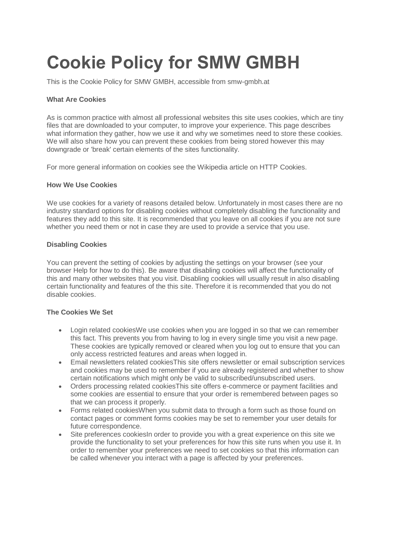# **Cookie Policy for SMW GMBH**

This is the Cookie Policy for SMW GMBH, accessible from smw-gmbh.at

## **What Are Cookies**

As is common practice with almost all professional websites this site uses cookies, which are tiny files that are downloaded to your computer, to improve your experience. This page describes what information they gather, how we use it and why we sometimes need to store these cookies. We will also share how you can prevent these cookies from being stored however this may downgrade or 'break' certain elements of the sites functionality.

For more general information on cookies see the Wikipedia article on HTTP Cookies.

#### **How We Use Cookies**

We use cookies for a variety of reasons detailed below. Unfortunately in most cases there are no industry standard options for disabling cookies without completely disabling the functionality and features they add to this site. It is recommended that you leave on all cookies if you are not sure whether you need them or not in case they are used to provide a service that you use.

## **Disabling Cookies**

You can prevent the setting of cookies by adjusting the settings on your browser (see your browser Help for how to do this). Be aware that disabling cookies will affect the functionality of this and many other websites that you visit. Disabling cookies will usually result in also disabling certain functionality and features of the this site. Therefore it is recommended that you do not disable cookies.

#### **The Cookies We Set**

- Login related cookiesWe use cookies when you are logged in so that we can remember this fact. This prevents you from having to log in every single time you visit a new page. These cookies are typically removed or cleared when you log out to ensure that you can only access restricted features and areas when logged in.
- Email newsletters related cookiesThis site offers newsletter or email subscription services and cookies may be used to remember if you are already registered and whether to show certain notifications which might only be valid to subscribed/unsubscribed users.
- Orders processing related cookiesThis site offers e-commerce or payment facilities and some cookies are essential to ensure that your order is remembered between pages so that we can process it properly.
- Forms related cookiesWhen you submit data to through a form such as those found on contact pages or comment forms cookies may be set to remember your user details for future correspondence.
- Site preferences cookies in order to provide you with a great experience on this site we provide the functionality to set your preferences for how this site runs when you use it. In order to remember your preferences we need to set cookies so that this information can be called whenever you interact with a page is affected by your preferences.